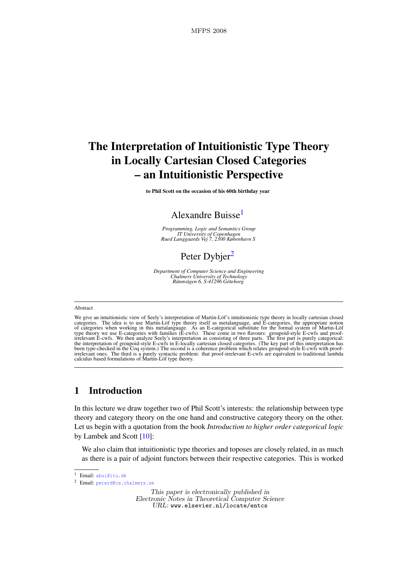# The Interpretation of Intuitionistic Type Theory in Locally Cartesian Closed Categories – an Intuitionistic Perspective

to Phil Scott on the occasion of his 60th birthday year

### Alexandre Buisse<sup>[1](#page-0-0)</sup>

*Programming, Logic and Semantics Group IT University of Copenhagen Rued Langgaards Vej 7, 2300 København S*

## Peter Dybjer<sup>[2](#page-0-0)</sup>

*Department of Computer Science and Engineering Chalmers University of Technology Rännvägen 6, S-41296 Göteborg*

#### <span id="page-0-0"></span>Abstract

We give an intuitionistic view of Seely's interpretation of Martin-Löf's intuitionistic type theory in locally cartesian closed<br>categories. The idea is to use Martin-Löf type theory itself as metalanguage, and E-categories been type-checked in the Coq system.) The second is a coherence problem which relates groupoid-style E-cwfs with proof-<br>irrelevant ones. The third is a purely syntactic problem: that proof-irrelevant E-cwfs are equivalent

### 1 Introduction

In this lecture we draw together two of Phil Scott's interests: the relationship between type theory and category theory on the one hand and constructive category theory on the other. Let us begin with a quotation from the book *Introduction to higher order categorical logic* by Lambek and Scott [\[10\]](#page-10-0):

We also claim that intuitionistic type theories and toposes are closely related, in as much as there is a pair of adjoint functors between their respective categories. This is worked

This paper is electronically published in Electronic Notes in Theoretical Computer Science URL: www.elsevier.nl/locate/entcs

<sup>&</sup>lt;sup>1</sup> Email: [abui@itu.dk](mailto:abui@itu.dk)

<sup>2</sup> Email: [peterd@cs.chalmers.se](mailto:peterd@cs.chalmers.se)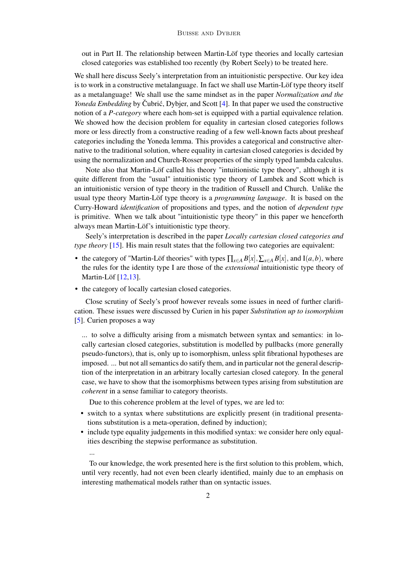out in Part II. The relationship between Martin-Löf type theories and locally cartesian closed categories was established too recently (by Robert Seely) to be treated here.

We shall here discuss Seely's interpretation from an intuitionistic perspective. Our key idea is to work in a constructive metalanguage. In fact we shall use Martin-Löf type theory itself as a metalanguage! We shall use the same mindset as in the paper *Normalization and the Yoneda Embedding* by Čubrić, Dybjer, and Scott [[4\]](#page-9-0). In that paper we used the constructive notion of a *P-category* where each hom-set is equipped with a partial equivalence relation. We showed how the decision problem for equality in cartesian closed categories follows more or less directly from a constructive reading of a few well-known facts about presheaf categories including the Yoneda lemma. This provides a categorical and constructive alternative to the traditional solution, where equality in cartesian closed categories is decided by using the normalization and Church-Rosser properties of the simply typed lambda calculus.

Note also that Martin-Löf called his theory "intuitionistic type theory", although it is quite different from the "usual" intuitionistic type theory of Lambek and Scott which is an intuitionistic version of type theory in the tradition of Russell and Church. Unlike the usual type theory Martin-Löf type theory is a *programming language*. It is based on the Curry-Howard *identification* of propositions and types, and the notion of *dependent type* is primitive. When we talk about "intuitionistic type theory" in this paper we henceforth always mean Martin-Löf's intuitionistic type theory.

Seely's interpretation is described in the paper *Locally cartesian closed categories and type theory* [\[15\]](#page-10-1). His main result states that the following two categories are equivalent:

- the category of "Martin-Löf theories" with types  $\prod_{x \in A} B[x]$ ,  $\sum_{x \in A} B[x]$ , and I $(a, b)$ , where the rules for the identity type I are those of the *extensional* intuitionistic type theory of Martin-Löf [\[12](#page-10-2)[,13\]](#page-10-3).
- the category of locally cartesian closed categories.

...

Close scrutiny of Seely's proof however reveals some issues in need of further clarification. These issues were discussed by Curien in his paper *Substitution up to isomorphism* [\[5\]](#page-9-1). Curien proposes a way

... to solve a difficulty arising from a mismatch between syntax and semantics: in locally cartesian closed categories, substitution is modelled by pullbacks (more generally pseudo-functors), that is, only up to isomorphism, unless split fibrational hypotheses are imposed. ... but not all semantics do satify them, and in particular not the general description of the interpretation in an arbitrary locally cartesian closed category. In the general case, we have to show that the isomorphisms between types arising from substitution are *coherent* in a sense familiar to category theorists.

Due to this coherence problem at the level of types, we are led to:

- switch to a syntax where substitutions are explicitly present (in traditional presentations substitution is a meta-operation, defined by induction);
- include type equality judgements in this modified syntax: we consider here only equalities describing the stepwise performance as substitution.

To our knowledge, the work presented here is the first solution to this problem, which, until very recently, had not even been clearly identified, mainly due to an emphasis on interesting mathematical models rather than on syntactic issues.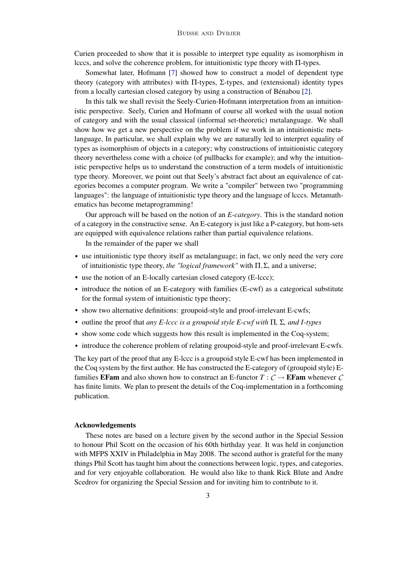Curien proceeded to show that it is possible to interpret type equality as isomorphism in lcccs, and solve the coherence problem, for intuitionistic type theory with Π-types.

Somewhat later, Hofmann [\[7\]](#page-10-4) showed how to construct a model of dependent type theory (category with attributes) with Π-types, Σ-types, and (extensional) identity types from a locally cartesian closed category by using a construction of Bénabou [\[2\]](#page-9-2).

In this talk we shall revisit the Seely-Curien-Hofmann interpretation from an intuitionistic perspective. Seely, Curien and Hofmann of course all worked with the usual notion of category and with the usual classical (informal set-theoretic) metalanguage. We shall show how we get a new perspective on the problem if we work in an intuitionistic metalanguage, In particular, we shall explain why we are naturally led to interpret equality of types as isomorphism of objects in a category; why constructions of intuitionistic category theory nevertheless come with a choice (of pullbacks for example); and why the intuitionistic perspective helps us to understand the construction of a term models of intuitionistic type theory. Moreover, we point out that Seely's abstract fact about an equivalence of categories becomes a computer program. We write a "compiler" between two "programming languages": the language of intuitionistic type theory and the language of lcccs. Metamathematics has become metaprogramming!

Our approach will be based on the notion of an *E-category*. This is the standard notion of a category in the constructive sense. An E-category is just like a P-category, but hom-sets are equipped with equivalence relations rather than partial equivalence relations.

In the remainder of the paper we shall

- use intuitionistic type theory itself as metalanguage; in fact, we only need the very core of intuitionistic type theory, *the "logical framework"* with Π,Σ, and a universe;
- use the notion of an E-locally cartesian closed category (E-lccc);
- introduce the notion of an E-category with families (E-cwf) as a categorical substitute for the formal system of intuitionistic type theory;
- show two alternative definitions: groupoid-style and proof-irrelevant E-cwfs;
- outline the proof that *any E-lccc is a groupoid style E-cwf with* Π*,* Σ*, and I-types*
- show some code which suggests how this result is implemented in the Coq-system;
- introduce the coherence problem of relating groupoid-style and proof-irrelevant E-cwfs.

The key part of the proof that any E-lccc is a groupoid style E-cwf has been implemented in the Coq system by the first author. He has constructed the E-category of (groupoid style) Efamilies **EFam** and also shown how to construct an E-functor  $T : C \rightarrow \mathbf{EFam}$  whenever  $C$ has finite limits. We plan to present the details of the Coq-implementation in a forthcoming publication.

#### Acknowledgements

These notes are based on a lecture given by the second author in the Special Session to honour Phil Scott on the occasion of his 60th birthday year. It was held in conjunction with MFPS XXIV in Philadelphia in May 2008. The second author is grateful for the many things Phil Scott has taught him about the connections between logic, types, and categories, and for very enjoyable collaboration. He would also like to thank Rick Blute and Andre Scedrov for organizing the Special Session and for inviting him to contribute to it.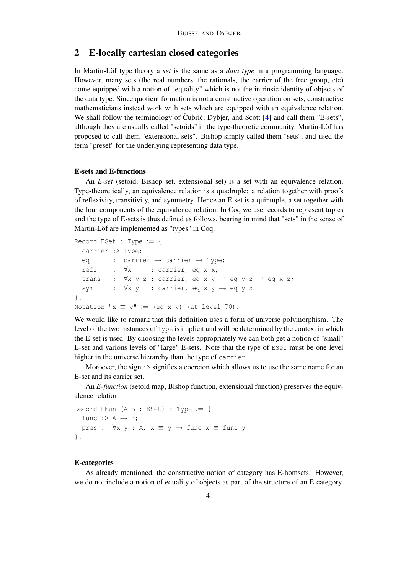### 2 E-locally cartesian closed categories

In Martin-Löf type theory a *set* is the same as a *data type* in a programming language. However, many sets (the real numbers, the rationals, the carrier of the free group, etc) come equipped with a notion of "equality" which is not the intrinsic identity of objects of the data type. Since quotient formation is not a constructive operation on sets, constructive mathematicians instead work with sets which are equipped with an equivalence relation. We shall follow the terminology of Čubrić, Dybjer, and Scott  $[4]$  $[4]$  and call them "E-sets", although they are usually called "setoids" in the type-theoretic community. Martin-Löf has proposed to call them "extensional sets". Bishop simply called them "sets", and used the term "preset" for the underlying representing data type.

### E-sets and E-functions

An *E-set* (setoid, Bishop set, extensional set) is a set with an equivalence relation. Type-theoretically, an equivalence relation is a quadruple: a relation together with proofs of reflexivity, transitivity, and symmetry. Hence an E-set is a quintuple, a set together with the four components of the equivalence relation. In Coq we use records to represent tuples and the type of E-sets is thus defined as follows, bearing in mind that "sets" in the sense of Martin-Löf are implemented as "types" in Coq.

```
Record ESet : Type := {
  carrier :> Type;
  eq : carrier \rightarrow carrier \rightarrow Type;
  refl : ∀x : carrier, eq x x;
  trans : \forall x \ y \ z : carrier, eq x \ y \rightarrow eq y \ z \rightarrow eq x \ z;
  sym : \forall x \ y : carrier, eq x y \rightarrow eq y x
}.
Notation "x \equiv y" := (eq x y) (at level 70).
```
We would like to remark that this definition uses a form of universe polymorphism. The level of the two instances of Type is implicit and will be determined by the context in which the E-set is used. By choosing the levels appropriately we can both get a notion of "small" E-set and various levels of "large" E-sets. Note that the type of ESet must be one level higher in the universe hierarchy than the type of carrier.

Moroever, the sign :> signifies a coercion which allows us to use the same name for an E-set and its carrier set.

An *E-function* (setoid map, Bishop function, extensional function) preserves the equivalence relation:

```
Record EFun (A \ B : ESet): Type := {
   func :> A \rightarrow B;
  pres : \forall x \ y : A, x \equiv y \rightarrow func x \equiv func y
}.
```
#### E-categories

As already mentioned, the constructive notion of category has E-homsets. However, we do not include a notion of equality of objects as part of the structure of an E-category.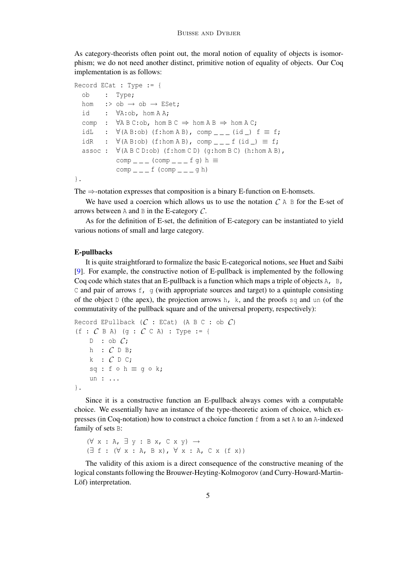As category-theorists often point out, the moral notion of equality of objects is isomorphism; we do not need another distinct, primitive notion of equality of objects. Our Coq implementation is as follows:

```
Record ECat : Type := {
  ob : Type;
  hom :> ob \rightarrow ob \rightarrow ESet;
  id : ∀A:ob, hom A A;
  comp : \forall A \ B \ C : ob, hom B \ C \Rightarrow hom A \ B \Rightarrow hom A \ C;
  idL : \forall(A B:ob) (f:hom A B), comp _ _ _ (id _) f \equiv f;
  idR : \forall(AB:ob) (f:hom AB), comp __ _ f (id _) \equiv f;
  assoc : \forall(A B C D:ob) (f:hom C D) (q:hom B C) (h:hom A B),
             comp_{---} (comp _{---} f g) h \equivcomp \_ - = f (comp \_ - = g h)
```
}.

The ⇒-notation expresses that composition is a binary E-function on E-homsets.

We have used a coercion which allows us to use the notation  $C A B$  for the E-set of arrows between A and B in the E-category *C*.

As for the definition of E-set, the definition of E-category can be instantiated to yield various notions of small and large category.

### E-pullbacks

It is quite straightforard to formalize the basic E-categorical notions, see Huet and Saibi [\[9\]](#page-10-5). For example, the constructive notion of E-pullback is implemented by the following Coq code which states that an E-pullback is a function which maps a triple of objects  $A$ ,  $B$ , C and pair of arrows  $f$ , q (with appropriate sources and target) to a quintuple consisting of the object D (the apex), the projection arrows h, k, and the proofs sq and un (of the commutativity of the pullback square and of the universal property, respectively):

```
Record EPullback (C : ECat) (A B C : ob C)
(f : C B A) (g : C C A) : Type := {
    D : ob C;
    h : C D B;
    k : C D C;
    sq : f \circ h \equiv q \circ k;
    un : ...
}.
```
Since it is a constructive function an E-pullback always comes with a computable choice. We essentially have an instance of the type-theoretic axiom of choice, which expresses (in Coq-notation) how to construct a choice function f from a set A to an A-indexed family of sets B:

 $(\forall x : A, \exists y : B x, C x y) \rightarrow$ (∃ f : (∀ x : A, B x), ∀ x : A, C x (f x))

The validity of this axiom is a direct consequence of the constructive meaning of the logical constants following the Brouwer-Heyting-Kolmogorov (and Curry-Howard-Martin-Löf) interpretation.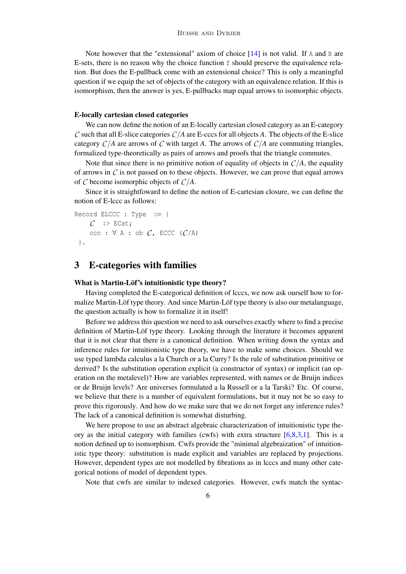Note however that the "extensional" axiom of choice  $[14]$  is not valid. If A and B are E-sets, there is no reason why the choice function f should preserve the equivalence relation. But does the E-pullback come with an extensional choice? This is only a meaningful question if we equip the set of objects of the category with an equivalence relation. If this is isomorphism, then the answer is yes, E-pullbacks map equal arrows to isomorphic objects.

### E-locally cartesian closed categories

We can now define the notion of an E-locally cartesian closed category as an E-category *C* such that all E-slice categories *C*/*A* are E-cccs for all objects *A*. The objects of the E-slice category  $C/A$  are arrows of C with target A. The arrows of  $C/A$  are commuting triangles, formalized type-theoretically as pairs of arrows and proofs that the triangle commutes.

Note that since there is no primitive notion of equality of objects in  $C/A$ , the equality of arrows in *C* is not passed on to these objects. However, we can prove that equal arrows of *C* become isomorphic objects of *C*/*A*.

Since it is straightfoward to define the notion of E-cartesian closure, we can define the notion of E-lccc as follows:

```
Record ELCCC : Type := {
    C : \Sigma ECat;
    ccc : \forall A : ob C, ECCC (C/A)}.
```
### 3 E-categories with families

### What is Martin-Löf's intuitionistic type theory?

Having completed the E-categorical definition of lcccs, we now ask ourself how to formalize Martin-Löf type theory. And since Martin-Löf type theory is also our metalanguage, the question actually is how to formalize it in itself!

Before we address this question we need to ask ourselves exactly where to find a precise definition of Martin-Löf type theory. Looking through the literature it becomes apparent that it is not clear that there is a canonical definition. When writing down the syntax and inference rules for intuitionistic type theory, we have to make some choices. Should we use typed lambda calculus a la Church or a la Curry? Is the rule of substitution primitive or derived? Is the substitution operation explicit (a constructor of syntax) or implicit (an operation on the metalevel)? How are variables represented, with names or de Bruijn indices or de Bruijn levels? Are universes formulated a la Russell or a la Tarski? Etc. Of course, we believe that there is a number of equivalent formulations, but it may not be so easy to prove this rigorously. And how do we make sure that we do not forget any inference rules? The lack of a canonical definition is somewhat disturbing.

We here propose to use an abstract algebraic characterization of intuitionistic type theory as the initial category with families (cwfs) with extra structure  $[6,8,3,1]$  $[6,8,3,1]$  $[6,8,3,1]$  $[6,8,3,1]$ . This is a notion defined up to isomorphism. Cwfs provide the "minimal algebraization" of intuitionistic type theory: substitution is made explicit and variables are replaced by projections. However, dependent types are not modelled by fibrations as in lcccs and many other categorical notions of model of dependent types.

Note that cwfs are similar to indexed categories. However, cwfs match the syntac-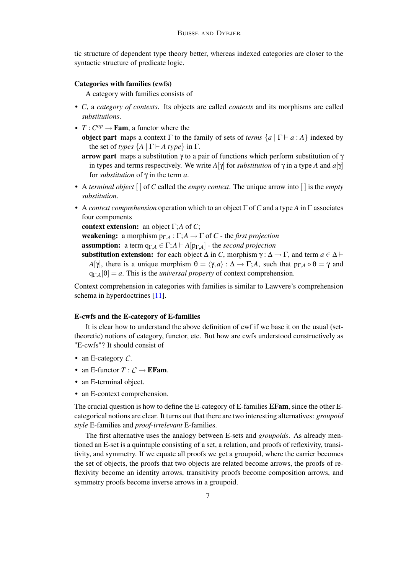tic structure of dependent type theory better, whereas indexed categories are closer to the syntactic structure of predicate logic.

### Categories with families (cwfs)

A category with families consists of

- *C*, a *category of contexts*. Its objects are called *contexts* and its morphisms are called *substitutions*.
- $T: C^{op} \to \textbf{Fam}$ , a functor where the

**object part** maps a context  $\Gamma$  to the family of sets of *terms*  $\{a \mid \Gamma \vdash a : A\}$  indexed by the set of *types*  $\{A \mid \Gamma \vdash A \text{ type}\}$  in  $\Gamma$ .

- arrow part maps a substitution γ to a pair of functions which perform substitution of γ in types and terms respectively. We write *A*[γ] for *substitution* of γ in a type *A* and *a*[γ] for *substitution* of γ in the term *a*.
- A *terminal object* [ ] of *C* called the *empty context*. The unique arrow into [ ] is the *empty substitution*.
- A *context comprehension* operation which to an object Γ of*C* and a type *A* in Γ associates four components

context extension: an object Γ;*A* of *C*;

weakening: a morphism  $p_{\Gamma,A} : \Gamma; A \to \Gamma$  of *C* - the *first projection* 

**assumption:** a term  $q_{\Gamma,A} \in \Gamma$ ;  $A \vdash A[p_{\Gamma,A}]$  - the *second projection* 

substitution extension: for each object  $\Delta$  in *C*, morphism  $\gamma : \Delta \to \Gamma$ , and term  $a \in \Delta \vdash$ *A*[γ], there is a unique morphism  $\theta = \langle \gamma, a \rangle : \Delta \to \Gamma$ ;*A*, such that  $p_{\Gamma, A} \circ \theta = \gamma$  and  $q_{\Gamma,A}[\theta] = a$ . This is the *universal property* of context comprehension.

Context comprehension in categories with families is similar to Lawvere's comprehension schema in hyperdoctrines [\[11\]](#page-10-9).

### E-cwfs and the E-category of E-families

It is clear how to understand the above definition of cwf if we base it on the usual (settheoretic) notions of category, functor, etc. But how are cwfs understood constructively as "E-cwfs"? It should consist of

- an E-category *C*.
- an E-functor  $T: \mathcal{C} \to \mathbf{EFam}$ .
- an E-terminal object.
- an E-context comprehension.

The crucial question is how to define the E-category of E-families EFam, since the other Ecategorical notions are clear. It turns out that there are two interesting alternatives: *groupoid style* E-families and *proof-irrelevant* E-families.

The first alternative uses the analogy between E-sets and *groupoids*. As already mentioned an E-set is a quintuple consisting of a set, a relation, and proofs of reflexivity, transitivity, and symmetry. If we equate all proofs we get a groupoid, where the carrier becomes the set of objects, the proofs that two objects are related become arrows, the proofs of reflexivity become an identity arrows, transitivity proofs become composition arrows, and symmetry proofs become inverse arrows in a groupoid.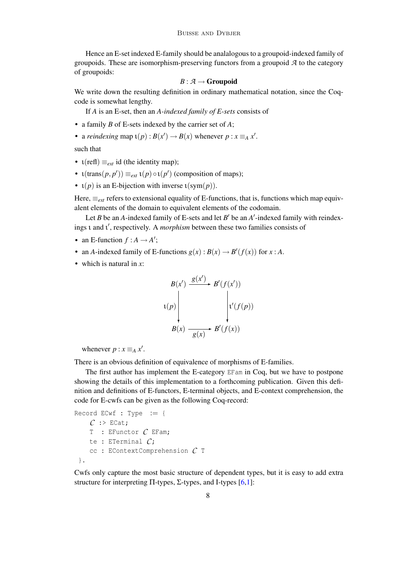Hence an E-set indexed E-family should be analalogous to a groupoid-indexed family of groupoids. These are isomorphism-preserving functors from a groupoid *A* to the category of groupoids:

### $B: A \rightarrow$  Groupoid

We write down the resulting definition in ordinary mathematical notation, since the Coqcode is somewhat lengthy.

If *A* is an E-set, then an *A-indexed family of E-sets* consists of

- a family *B* of E-sets indexed by the carrier set of *A*;
- a *reindexing* map  $\iota(p): B(x') \to B(x)$  whenever  $p: x \equiv_A x'$ .

such that

- $\iota$ (refl)  $\equiv_{ext}$  id (the identity map);
- $\iota$ (trans $(p, p')$ )  $\equiv_{ext} \iota(p) \circ \iota(p')$  (composition of maps);
- $\iota(p)$  is an E-bijection with inverse  $\iota(\text{sym}(p))$ .

Here,  $\equiv_{ext}$  refers to extensional equality of E-functions, that is, functions which map equivalent elements of the domain to equivalent elements of the codomain.

Let *B* be an *A*-indexed family of E-sets and let *B*<sup> $\prime$ </sup> be an *A*<sup> $\prime$ </sup>-indexed family with reindexings t and t', respectively. A *morphism* between these two families consists of

- an E-function  $f : A \rightarrow A'$ ;
- an *A*-indexed family of E-functions  $g(x) : B(x) \to B'(f(x))$  for  $x : A$ .
- which is natural in *x*:

$$
B(x') \xrightarrow{g(x')}\nB'(f(x'))
$$
\n
$$
B(x) \xrightarrow{g(x)}\nB'(f(x))
$$

whenever  $p : x \equiv_A x'$ .

There is an obvious definition of equivalence of morphisms of E-families.

The first author has implement the E-category EFam in Coq, but we have to postpone showing the details of this implementation to a forthcoming publication. Given this definition and definitions of E-functors, E-terminal objects, and E-context comprehension, the code for E-cwfs can be given as the following Coq-record:

```
Record ECwf : Type := \{C :> ECat;
   T : EFunctor C EFam;
   te : ETerminal C;
    cc : EContextComprehension C T
 }.
```
Cwfs only capture the most basic structure of dependent types, but it is easy to add extra structure for interpreting  $\Pi$ -types,  $\Sigma$ -types, and I-types [\[6](#page-10-7)[,1\]](#page-9-4):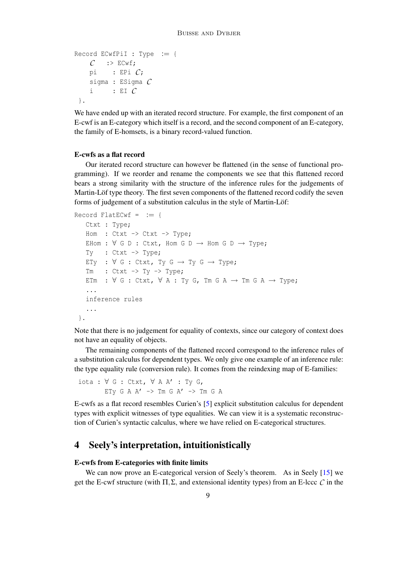```
Record ECwfPiI : Type := {
    C : \longrightarrow ECwf;
    pi : EPi C;
    sigma : ESigma C
    i : EI C
 }.
```
We have ended up with an iterated record structure. For example, the first component of an E-cwf is an E-category which itself is a record, and the second component of an E-category, the family of E-homsets, is a binary record-valued function.

### E-cwfs as a flat record

Our iterated record structure can however be flattened (in the sense of functional programming). If we reorder and rename the components we see that this flattened record bears a strong similarity with the structure of the inference rules for the judgements of Martin-Löf type theory. The first seven components of the flattened record codify the seven forms of judgement of a substitution calculus in the style of Martin-Löf:

```
Record FlatECwf = := {
    Ctxt : Type;
    Hom : Ctxt -> Ctxt -> Type;
    EHom : \forall G D : Ctxt, Hom G D \rightarrow Hom G D \rightarrow Type;
    Ty : Ctxt \rightarrow Type;
    ETy : \forall G : \mathsf{Ctxt}, \mathsf{Ty} G \rightarrow \mathsf{Ty} G \rightarrow \mathsf{Type};Tm : Ctxt -> Ty -> Type;
    ETm : \forall G : \text{Ctxt, } \forall A : \text{Ty G, } \text{TM} G A \rightarrow \text{TM} G A \rightarrow \text{Type; }...
    inference rules
     ...
 }.
```
Note that there is no judgement for equality of contexts, since our category of context does not have an equality of objects.

The remaining components of the flattened record correspond to the inference rules of a substitution calculus for dependent types. We only give one example of an inference rule: the type equality rule (conversion rule). It comes from the reindexing map of E-families:

iota : ∀ G : Ctxt, ∀ A A' : Ty G, ETy G A  $A'$  -> Tm G  $A'$  -> Tm G A

E-cwfs as a flat record resembles Curien's [\[5\]](#page-9-1) explicit substitution calculus for dependent types with explicit witnesses of type equalities. We can view it is a systematic reconstruction of Curien's syntactic calculus, where we have relied on E-categorical structures.

### 4 Seely's interpretation, intuitionistically

### E-cwfs from E-categories with finite limits

We can now prove an E-categorical version of Seely's theorem. As in Seely [\[15\]](#page-10-1) we get the E-cwf structure (with  $\Pi$ ,  $\Sigma$ , and extensional identity types) from an E-lccc  $\mathcal C$  in the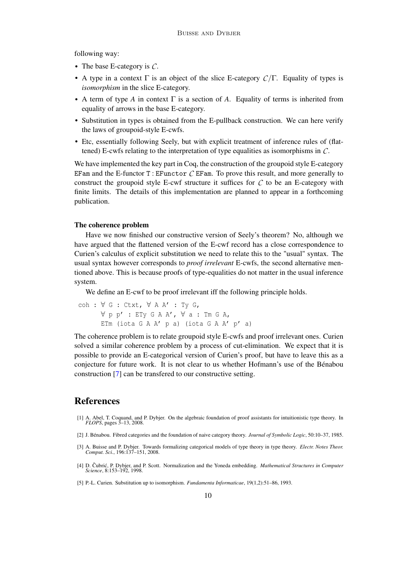following way:

- The base E-category is *C*.
- A type in a context  $\Gamma$  is an object of the slice E-category  $\mathcal{C}/\Gamma$ . Equality of types is *isomorphism* in the slice E-category.
- A term of type *A* in context Γ is a section of *A*. Equality of terms is inherited from equality of arrows in the base E-category.
- Substitution in types is obtained from the E-pullback construction. We can here verify the laws of groupoid-style E-cwfs.
- Etc, essentially following Seely, but with explicit treatment of inference rules of (flattened) E-cwfs relating to the interpretation of type equalities as isomorphisms in *C*.

We have implemented the key part in Coq, the construction of the groupoid style E-category EFam and the E-functor  $T$  : EFunctor  $C$  EFam. To prove this result, and more generally to construct the groupoid style E-cwf structure it suffices for  $C$  to be an E-category with finite limits. The details of this implementation are planned to appear in a forthcoming publication.

#### The coherence problem

Have we now finished our constructive version of Seely's theorem? No, although we have argued that the flattened version of the E-cwf record has a close correspondence to Curien's calculus of explicit substitution we need to relate this to the "usual" syntax. The usual syntax however corresponds to *proof irrelevant* E-cwfs, the second alternative mentioned above. This is because proofs of type-equalities do not matter in the usual inference system.

We define an E-cwf to be proof irrelevant iff the following principle holds.

coh :  $\forall G : \mathsf{Ctxt}, \forall A A' : \mathsf{Ty} G,$ ∀ p p' : ETy G A A', ∀ a : Tm G A, ETm (iota G A A' p a) (iota G A A' p' a)

The coherence problem is to relate groupoid style E-cwfs and proof irrelevant ones. Curien solved a similar coherence problem by a process of cut-elimination. We expect that it is possible to provide an E-categorical version of Curien's proof, but have to leave this as a conjecture for future work. It is not clear to us whether Hofmann's use of the Bénabou construction [\[7\]](#page-10-4) can be transfered to our constructive setting.

### References

- <span id="page-9-4"></span>[1] A. Abel, T. Coquand, and P. Dybjer. On the algebraic foundation of proof assistants for intuitionistic type theory. In *FLOPS*, pages 3–13, 2008.
- <span id="page-9-2"></span>[2] J. Bénabou. Fibred categories and the foundation of naive category theory. *Journal of Symbolic Logic*, 50:10–37, 1985.
- <span id="page-9-3"></span>[3] A. Buisse and P. Dybjer. Towards formalizing categorical models of type theory in type theory. *Electr. Notes Theor. Comput. Sci.*, 196:137–151, 2008.
- <span id="page-9-0"></span>[4] D. Čubrić, P. Dybjer, and P. Scott. Normalization and the Yoneda embedding. *Mathematical Structures in Computer Science*, 8:153–192, 1998.
- <span id="page-9-1"></span>[5] P.-L. Curien. Substitution up to isomorphism. *Fundamenta Informaticae*, 19(1,2):51–86, 1993.